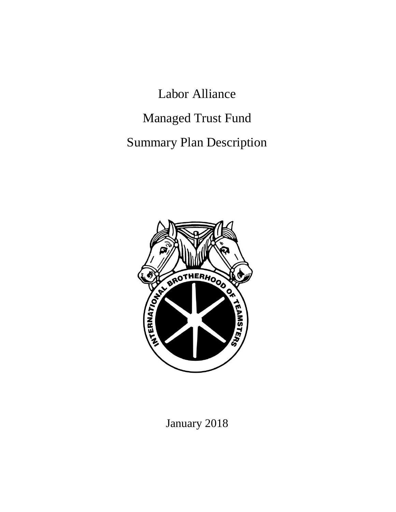Labor Alliance Managed Trust Fund Summary Plan Description



January 2018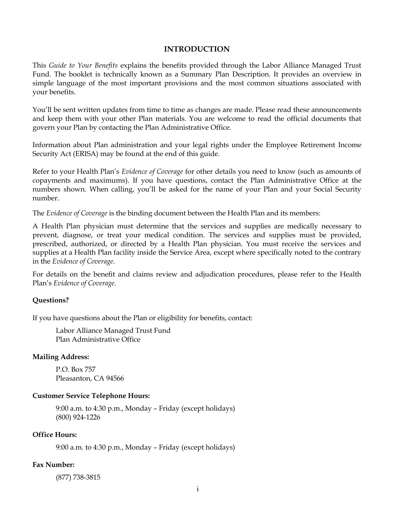#### **INTRODUCTION**

This *Guide to Your Benefits* explains the benefits provided through the Labor Alliance Managed Trust Fund. The booklet is technically known as a Summary Plan Description. It provides an overview in simple language of the most important provisions and the most common situations associated with your benefits.

You'll be sent written updates from time to time as changes are made. Please read these announcements and keep them with your other Plan materials. You are welcome to read the official documents that govern your Plan by contacting the Plan Administrative Office.

Information about Plan administration and your legal rights under the Employee Retirement Income Security Act (ERISA) may be found at the end of this guide.

Refer to your Health Plan's *Evidence of Coverage* for other details you need to know (such as amounts of copayments and maximums). If you have questions, contact the Plan Administrative Office at the numbers shown. When calling, you'll be asked for the name of your Plan and your Social Security number.

The *Evidence of Coverage* is the binding document between the Health Plan and its members:

A Health Plan physician must determine that the services and supplies are medically necessary to prevent, diagnose, or treat your medical condition. The services and supplies must be provided, prescribed, authorized, or directed by a Health Plan physician. You must receive the services and supplies at a Health Plan facility inside the Service Area, except where specifically noted to the contrary in the *Evidence of Coverage*.

For details on the benefit and claims review and adjudication procedures, please refer to the Health Plan's *Evidence of Coverage*.

#### **Questions?**

If you have questions about the Plan or eligibility for benefits, contact:

Labor Alliance Managed Trust Fund Plan Administrative Office

#### **Mailing Address:**

P.O. Box 757 Pleasanton, CA 94566

#### **Customer Service Telephone Hours:**

9:00 a.m. to 4:30 p.m., Monday – Friday (except holidays) (800) 924-1226

#### **Office Hours:**

9:00 a.m. to 4:30 p.m., Monday – Friday (except holidays)

#### **Fax Number:**

(877) 738-3815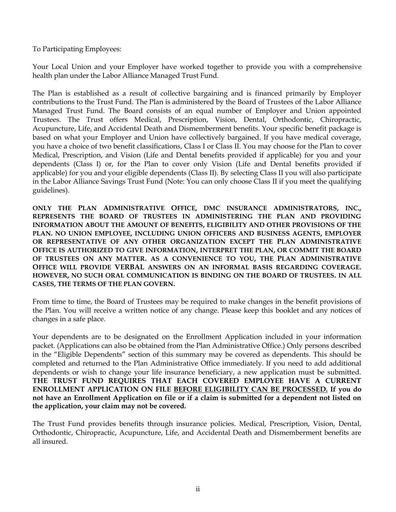To Participating Employees:

Your Local Union and your Employer have worked together to provide you with a comprehensive health plan under the Labor Alliance Managed Trust Fund.

The Plan is established as a result of collective bargaining and is financed primarily by Employer contributions to the Trust Fund. The Plan is administered by the Board of Trustees of the Labor Alliance Managed Trust Fund. The Board consists of an equal number of Employer and Union appointed Trustees. The Trust offers Medical, Prescription, Vision, Dental, Orthodontic, Chiropractic, Acupuncture, Life, and Accidental Death and Dismemberment benefits. Your specific benefit package is based on what your Employer and Union have collectively bargained. If you have medical coverage, you have a choice of two benefit classifications, Class I or Class II. You may choose for the Plan to cover Medical, Prescription, and Vision (Life and Dental benefits provided if applicable) for you and your dependents (Class I) or, for the Plan to cover only Vision (Life and Dental benefits provided if applicable) for you and your eligible dependents (Class II). By selecting Class II you will also participate in the Labor Alliance Savings Trust Fund (Note: You can only choose Class II if you meet the qualifying guidelines).

**ONLY THE PLAN ADMINISTRATIVE OFFICE, DMC INSURANCE ADMINISTRATORS, INC., REPRESENTS THE BOARD OF TRUSTEES IN ADMINISTERING THE PLAN AND PROVIDING INFORMATION ABOUT THE AMOUNT OF BENEFITS, ELIGIBILITY AND OTHER PROVISIONS OF THE PLAN. NO UNION EMPLOYEE, INCLUDING UNION OFFICERS AND BUSINESS AGENTS, EMPLOYER OR REPRESENTATIVE OF ANY OTHER ORGANIZATION EXCEPT THE PLAN ADMINISTRATIVE OFFICE IS AUTHORIZED TO GIVE INFORMATION, INTERPRET THE PLAN, OR COMMIT THE BOARD OF TRUSTEES ON ANY MATTER. AS A CONVENIENCE TO YOU, THE PLAN ADMINISTRATIVE OFFICE WILL PROVIDE VERBAL ANSWERS ON AN INFORMAL BASIS REGARDING COVERAGE. HOWEVER, NO SUCH ORAL COMMUNICATION IS BINDING ON THE BOARD OF TRUSTEES. IN ALL CASES, THE TERMS OF THE PLAN GOVERN.**

From time to time, the Board of Trustees may be required to make changes in the benefit provisions of the Plan. You will receive a written notice of any change. Please keep this booklet and any notices of changes in a safe place.

Your dependents are to be designated on the Enrollment Application included in your information packet. (Applications can also be obtained from the Plan Administrative Office.) Only persons described in the "Eligible Dependents" section of this summary may be covered as dependents. This should be completed and returned to the Plan Administrative Office immediately. If you need to add additional dependents or wish to change your life insurance beneficiary, a new application must be submitted. **THE TRUST FUND REQUIRES THAT EACH COVERED EMPLOYEE HAVE A CURRENT ENROLLMENT APPLICATION ON FILE BEFORE ELIGIBILITY CAN BE PROCESSED. If you do not have an Enrollment Application on file or if a claim is submitted for a dependent not listed on the application, your claim may not be covered.**

The Trust Fund provides benefits through insurance policies. Medical, Prescription, Vision, Dental, Orthodontic, Chiropractic, Acupuncture, Life, and Accidental Death and Dismemberment benefits are all insured.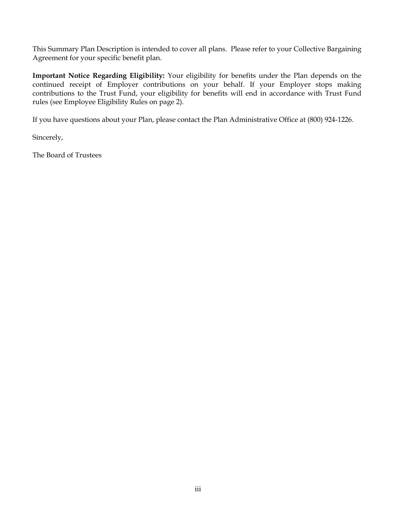This Summary Plan Description is intended to cover all plans. Please refer to your Collective Bargaining Agreement for your specific benefit plan.

**Important Notice Regarding Eligibility:** Your eligibility for benefits under the Plan depends on the continued receipt of Employer contributions on your behalf. If your Employer stops making contributions to the Trust Fund, your eligibility for benefits will end in accordance with Trust Fund rules (see Employee Eligibility Rules on page 2).

If you have questions about your Plan, please contact the Plan Administrative Office at (800) 924-1226.

Sincerely,

The Board of Trustees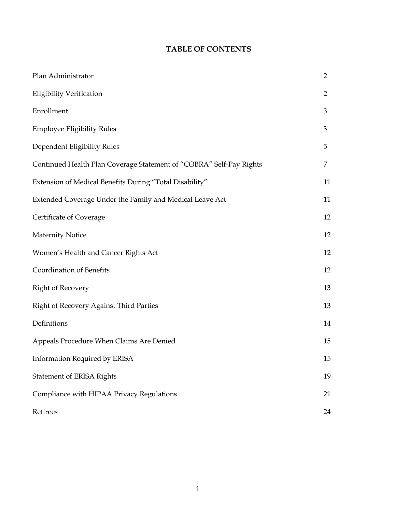# **TABLE OF CONTENTS**

| Plan Administrator                                                  | $\overline{2}$ |
|---------------------------------------------------------------------|----------------|
| <b>Eligibility Verification</b>                                     | $\overline{2}$ |
| Enrollment                                                          | 3              |
| <b>Employee Eligibility Rules</b>                                   | 3              |
| Dependent Eligibility Rules                                         | 5              |
| Continued Health Plan Coverage Statement of "COBRA" Self-Pay Rights | 7              |
| Extension of Medical Benefits During "Total Disability"             | 11             |
| Extended Coverage Under the Family and Medical Leave Act            | 11             |
| Certificate of Coverage                                             | 12             |
| <b>Maternity Notice</b>                                             | 12             |
| Women's Health and Cancer Rights Act                                | 12             |
| Coordination of Benefits                                            | 12             |
| <b>Right of Recovery</b>                                            | 13             |
| Right of Recovery Against Third Parties                             | 13             |
| Definitions                                                         | 14             |
| Appeals Procedure When Claims Are Denied                            | 15             |
| Information Required by ERISA                                       | 15             |
| <b>Statement of ERISA Rights</b>                                    | 19             |
| Compliance with HIPAA Privacy Regulations                           | 21             |
| Retirees                                                            | 24             |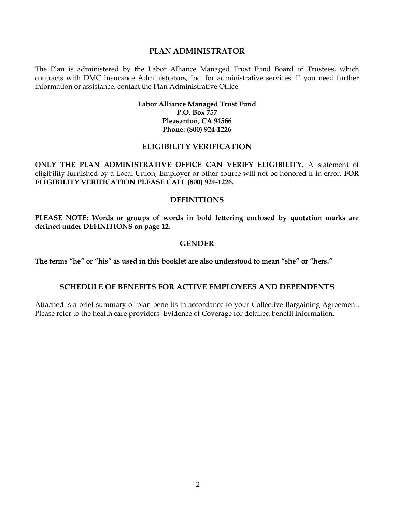#### **PLAN ADMINISTRATOR**

The Plan is administered by the Labor Alliance Managed Trust Fund Board of Trustees, which contracts with DMC Insurance Administrators, Inc. for administrative services. If you need further information or assistance, contact the Plan Administrative Office:

## **Labor Alliance Managed Trust Fund P.O. Box 757 Pleasanton, CA 94566 Phone: (800) 924-1226**

## **ELIGIBILITY VERIFICATION**

**ONLY THE PLAN ADMINISTRATIVE OFFICE CAN VERIFY ELIGIBILITY.** A statement of eligibility furnished by a Local Union, Employer or other source will not be honored if in error. **FOR ELIGIBILITY VERIFICATION PLEASE CALL (800) 924-1226.**

#### **DEFINITIONS**

**PLEASE NOTE: Words or groups of words in bold lettering enclosed by quotation marks are defined under DEFINITIONS on page 12.**

#### **GENDER**

**The terms "he" or "his" as used in this booklet are also understood to mean "she" or "hers."**

#### **SCHEDULE OF BENEFITS FOR ACTIVE EMPLOYEES AND DEPENDENTS**

Attached is a brief summary of plan benefits in accordance to your Collective Bargaining Agreement. Please refer to the health care providers' Evidence of Coverage for detailed benefit information.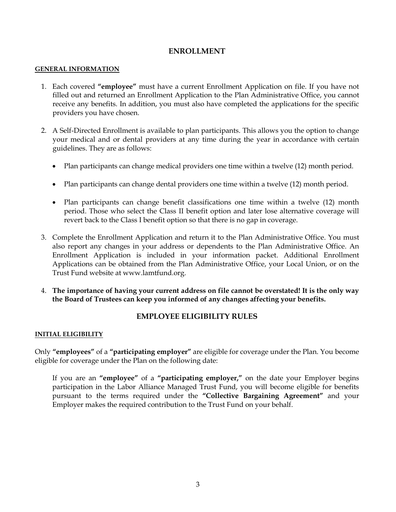## **ENROLLMENT**

#### **GENERAL INFORMATION**

- 1. Each covered **"employee"** must have a current Enrollment Application on file. If you have not filled out and returned an Enrollment Application to the Plan Administrative Office, you cannot receive any benefits. In addition, you must also have completed the applications for the specific providers you have chosen.
- 2. A Self-Directed Enrollment is available to plan participants. This allows you the option to change your medical and or dental providers at any time during the year in accordance with certain guidelines. They are as follows:
	- Plan participants can change medical providers one time within a twelve (12) month period.
	- Plan participants can change dental providers one time within a twelve (12) month period.
	- Plan participants can change benefit classifications one time within a twelve (12) month period. Those who select the Class II benefit option and later lose alternative coverage will revert back to the Class I benefit option so that there is no gap in coverage.
- 3. Complete the Enrollment Application and return it to the Plan Administrative Office. You must also report any changes in your address or dependents to the Plan Administrative Office. An Enrollment Application is included in your information packet. Additional Enrollment Applications can be obtained from the Plan Administrative Office, your Local Union, or on the Trust Fund website at www.lamtfund.org.
- 4. **The importance of having your current address on file cannot be overstated! It is the only way the Board of Trustees can keep you informed of any changes affecting your benefits.**

# **EMPLOYEE ELIGIBILITY RULES**

## **INITIAL ELIGIBILITY**

Only **"employees"** of a **"participating employer"** are eligible for coverage under the Plan. You become eligible for coverage under the Plan on the following date:

If you are an **"employee"** of a **"participating employer,"** on the date your Employer begins participation in the Labor Alliance Managed Trust Fund, you will become eligible for benefits pursuant to the terms required under the **"Collective Bargaining Agreement"** and your Employer makes the required contribution to the Trust Fund on your behalf.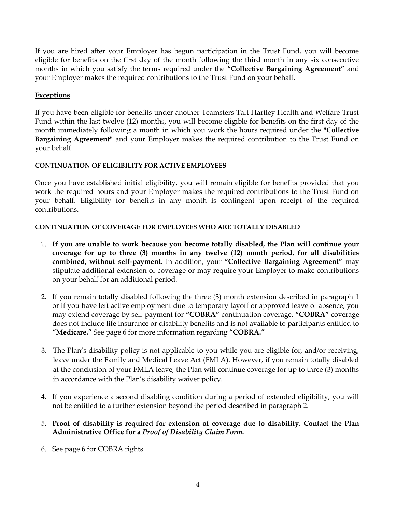If you are hired after your Employer has begun participation in the Trust Fund, you will become eligible for benefits on the first day of the month following the third month in any six consecutive months in which you satisfy the terms required under the **"Collective Bargaining Agreement"** and your Employer makes the required contributions to the Trust Fund on your behalf.

# **Exceptions**

If you have been eligible for benefits under another Teamsters Taft Hartley Health and Welfare Trust Fund within the last twelve (12) months, you will become eligible for benefits on the first day of the month immediately following a month in which you work the hours required under the **"Collective Bargaining Agreement"** and your Employer makes the required contribution to the Trust Fund on your behalf.

# **CONTINUATION OF ELIGIBILITY FOR ACTIVE EMPLOYEES**

Once you have established initial eligibility, you will remain eligible for benefits provided that you work the required hours and your Employer makes the required contributions to the Trust Fund on your behalf. Eligibility for benefits in any month is contingent upon receipt of the required contributions.

# **CONTINUATION OF COVERAGE FOR EMPLOYEES WHO ARE TOTALLY DISABLED**

- 1. **If you are unable to work because you become totally disabled, the Plan will continue your coverage for up to three (3) months in any twelve (12) month period, for all disabilities combined, without self-payment.** In addition, your **"Collective Bargaining Agreement"** may stipulate additional extension of coverage or may require your Employer to make contributions on your behalf for an additional period.
- 2. If you remain totally disabled following the three (3) month extension described in paragraph 1 or if you have left active employment due to temporary layoff or approved leave of absence, you may extend coverage by self-payment for **"COBRA"** continuation coverage. **"COBRA"** coverage does not include life insurance or disability benefits and is not available to participants entitled to **"Medicare."** See page 6 for more information regarding **"COBRA."**
- 3. The Plan's disability policy is not applicable to you while you are eligible for, and/or receiving, leave under the Family and Medical Leave Act (FMLA). However, if you remain totally disabled at the conclusion of your FMLA leave, the Plan will continue coverage for up to three (3) months in accordance with the Plan's disability waiver policy.
- 4. If you experience a second disabling condition during a period of extended eligibility, you will not be entitled to a further extension beyond the period described in paragraph 2.
- 5. **Proof of disability is required for extension of coverage due to disability. Contact the Plan Administrative Office for a** *Proof of Disability Claim Form.*
- 6. See page 6 for COBRA rights.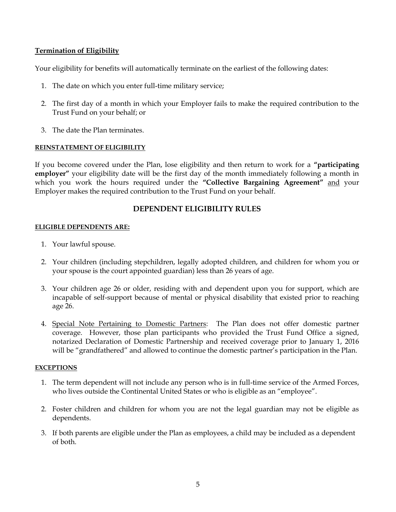## **Termination of Eligibility**

Your eligibility for benefits will automatically terminate on the earliest of the following dates:

- 1. The date on which you enter full-time military service;
- 2. The first day of a month in which your Employer fails to make the required contribution to the Trust Fund on your behalf; or
- 3. The date the Plan terminates.

#### **REINSTATEMENT OF ELIGIBILITY**

If you become covered under the Plan, lose eligibility and then return to work for a **"participating employer"** your eligibility date will be the first day of the month immediately following a month in which you work the hours required under the **"Collective Bargaining Agreement"** and your Employer makes the required contribution to the Trust Fund on your behalf.

# **DEPENDENT ELIGIBILITY RULES**

#### **ELIGIBLE DEPENDENTS ARE:**

- 1. Your lawful spouse.
- 2. Your children (including stepchildren, legally adopted children, and children for whom you or your spouse is the court appointed guardian) less than 26 years of age.
- 3. Your children age 26 or older, residing with and dependent upon you for support, which are incapable of self-support because of mental or physical disability that existed prior to reaching age 26.
- 4. Special Note Pertaining to Domestic Partners: The Plan does not offer domestic partner coverage. However, those plan participants who provided the Trust Fund Office a signed, notarized Declaration of Domestic Partnership and received coverage prior to January 1, 2016 will be "grandfathered" and allowed to continue the domestic partner's participation in the Plan.

## **EXCEPTIONS**

- 1. The term dependent will not include any person who is in full-time service of the Armed Forces, who lives outside the Continental United States or who is eligible as an "employee".
- 2. Foster children and children for whom you are not the legal guardian may not be eligible as dependents.
- 3. If both parents are eligible under the Plan as employees, a child may be included as a dependent of both.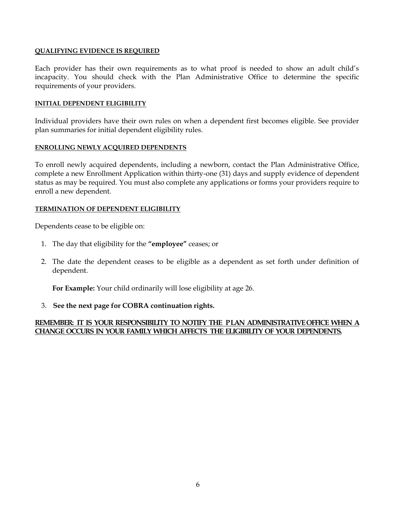#### **QUALIFYING EVIDENCE IS REQUIRED**

Each provider has their own requirements as to what proof is needed to show an adult child's incapacity. You should check with the Plan Administrative Office to determine the specific requirements of your providers.

#### **INITIAL DEPENDENT ELIGIBILITY**

Individual providers have their own rules on when a dependent first becomes eligible. See provider plan summaries for initial dependent eligibility rules.

#### **ENROLLING NEWLY ACQUIRED DEPENDENTS**

To enroll newly acquired dependents, including a newborn, contact the Plan Administrative Office, complete a new Enrollment Application within thirty-one (31) days and supply evidence of dependent status as may be required. You must also complete any applications or forms your providers require to enroll a new dependent.

#### **TERMINATION OF DEPENDENT ELIGIBILITY**

Dependents cease to be eligible on:

- 1. The day that eligibility for the **"employee"** ceases; or
- 2. The date the dependent ceases to be eligible as a dependent as set forth under definition of dependent.

**For Example:** Your child ordinarily will lose eligibility at age 26.

3. **See the next page for COBRA continuation rights.**

## **REMEMBER: IT IS YOUR RESPONSIBILITY TO NOTIFY THE P LAN ADMINISTRATIVEOFFICE WHEN A CHANGE OCCURS IN YOUR FAMILY WHICH AFFECTS THE ELIGIBILITY OF YOUR DEPENDENTS.**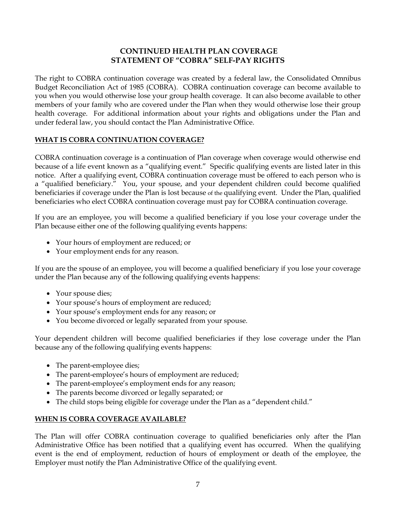# **CONTINUED HEALTH PLAN COVERAGE STATEMENT OF "COBRA" SELF-PAY RIGHTS**

The right to COBRA continuation coverage was created by a federal law, the Consolidated Omnibus Budget Reconciliation Act of 1985 (COBRA). COBRA continuation coverage can become available to you when you would otherwise lose your group health coverage. It can also become available to other members of your family who are covered under the Plan when they would otherwise lose their group health coverage. For additional information about your rights and obligations under the Plan and under federal law, you should contact the Plan Administrative Office.

# **WHAT IS COBRA CONTINUATION COVERAGE?**

COBRA continuation coverage is a continuation of Plan coverage when coverage would otherwise end because of a life event known as a "qualifying event." Specific qualifying events are listed later in this notice. After a qualifying event, COBRA continuation coverage must be offered to each person who is a "qualified beneficiary." You, your spouse, and your dependent children could become qualified beneficiaries if coverage under the Plan is lost because of the qualifying event. Under the Plan, qualified beneficiaries who elect COBRA continuation coverage must pay for COBRA continuation coverage.

If you are an employee, you will become a qualified beneficiary if you lose your coverage under the Plan because either one of the following qualifying events happens:

- Your hours of employment are reduced; or
- Your employment ends for any reason.

If you are the spouse of an employee, you will become a qualified beneficiary if you lose your coverage under the Plan because any of the following qualifying events happens:

- Your spouse dies;
- Your spouse's hours of employment are reduced;
- Your spouse's employment ends for any reason; or
- You become divorced or legally separated from your spouse.

Your dependent children will become qualified beneficiaries if they lose coverage under the Plan because any of the following qualifying events happens:

- The parent-employee dies;
- The parent-employee's hours of employment are reduced;
- The parent-employee's employment ends for any reason;
- The parents become divorced or legally separated; or
- The child stops being eligible for coverage under the Plan as a "dependent child."

# **WHEN IS COBRA COVERAGE AVAILABLE?**

The Plan will offer COBRA continuation coverage to qualified beneficiaries only after the Plan Administrative Office has been notified that a qualifying event has occurred. When the qualifying event is the end of employment, reduction of hours of employment or death of the employee, the Employer must notify the Plan Administrative Office of the qualifying event.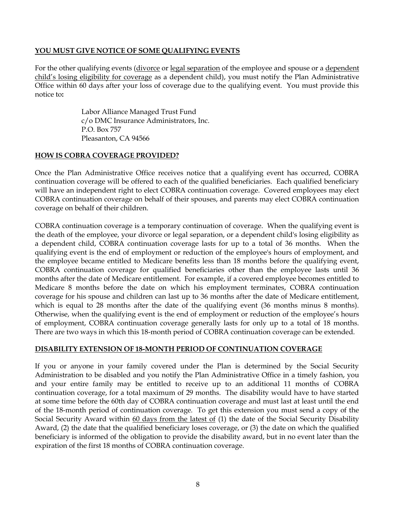#### **YOU MUST GIVE NOTICE OF SOME QUALIFYING EVENTS**

For the other qualifying events (divorce or legal separation of the employee and spouse or a dependent child's losing eligibility for coverage as a dependent child), you must notify the Plan Administrative Office within 60 days after your loss of coverage due to the qualifying event. You must provide this notice to**:**

> Labor Alliance Managed Trust Fund c/o DMC Insurance Administrators, Inc. P.O. Box 757 Pleasanton, CA 94566

## **HOW IS COBRA COVERAGE PROVIDED?**

Once the Plan Administrative Office receives notice that a qualifying event has occurred, COBRA continuation coverage will be offered to each of the qualified beneficiaries. Each qualified beneficiary will have an independent right to elect COBRA continuation coverage. Covered employees may elect COBRA continuation coverage on behalf of their spouses, and parents may elect COBRA continuation coverage on behalf of their children.

COBRA continuation coverage is a temporary continuation of coverage. When the qualifying event is the death of the employee, your divorce or legal separation, or a dependent child's losing eligibility as a dependent child, COBRA continuation coverage lasts for up to a total of 36 months. When the qualifying event is the end of employment or reduction of the employee's hours of employment, and the employee became entitled to Medicare benefits less than 18 months before the qualifying event, COBRA continuation coverage for qualified beneficiaries other than the employee lasts until 36 months after the date of Medicare entitlement. For example, if a covered employee becomes entitled to Medicare 8 months before the date on which his employment terminates, COBRA continuation coverage for his spouse and children can last up to 36 months after the date of Medicare entitlement, which is equal to 28 months after the date of the qualifying event (36 months minus 8 months). Otherwise, when the qualifying event is the end of employment or reduction of the employee's hours of employment, COBRA continuation coverage generally lasts for only up to a total of 18 months. There are two ways in which this 18-month period of COBRA continuation coverage can be extended.

## **DISABILITY EXTENSION OF 18-MONTH PERIOD OF CONTINUATION COVERAGE**

If you or anyone in your family covered under the Plan is determined by the Social Security Administration to be disabled and you notify the Plan Administrative Office in a timely fashion, you and your entire family may be entitled to receive up to an additional 11 months of COBRA continuation coverage, for a total maximum of 29 months. The disability would have to have started at some time before the 60th day of COBRA continuation coverage and must last at least until the end of the 18-month period of continuation coverage. To get this extension you must send a copy of the Social Security Award within 60 days from the latest of (1) the date of the Social Security Disability Award, (2) the date that the qualified beneficiary loses coverage, or (3) the date on which the qualified beneficiary is informed of the obligation to provide the disability award, but in no event later than the expiration of the first 18 months of COBRA continuation coverage.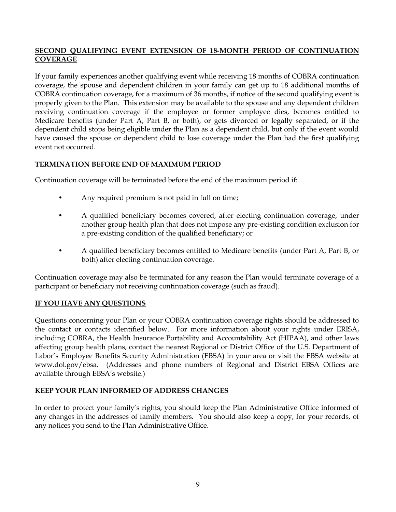# **SECOND QUALIFYING EVENT EXTENSION OF 18-MONTH PERIOD OF CONTINUATION COVERAGE**

If your family experiences another qualifying event while receiving 18 months of COBRA continuation coverage, the spouse and dependent children in your family can get up to 18 additional months of COBRA continuation coverage, for a maximum of 36 months, if notice of the second qualifying event is properly given to the Plan. This extension may be available to the spouse and any dependent children receiving continuation coverage if the employee or former employee dies, becomes entitled to Medicare benefits (under Part A, Part B, or both), or gets divorced or legally separated, or if the dependent child stops being eligible under the Plan as a dependent child, but only if the event would have caused the spouse or dependent child to lose coverage under the Plan had the first qualifying event not occurred.

# **TERMINATION BEFORE END OF MAXIMUM PERIOD**

Continuation coverage will be terminated before the end of the maximum period if:

- Any required premium is not paid in full on time;
- A qualified beneficiary becomes covered, after electing continuation coverage, under another group health plan that does not impose any pre-existing condition exclusion for a pre-existing condition of the qualified beneficiary; or
- A qualified beneficiary becomes entitled to Medicare benefits (under Part A, Part B, or both) after electing continuation coverage.

Continuation coverage may also be terminated for any reason the Plan would terminate coverage of a participant or beneficiary not receiving continuation coverage (such as fraud).

# **IF YOU HAVE ANY QUESTIONS**

Questions concerning your Plan or your COBRA continuation coverage rights should be addressed to the contact or contacts identified below. For more information about your rights under ERISA, including COBRA, the Health Insurance Portability and Accountability Act (HIPAA), and other laws affecting group health plans, contact the nearest Regional or District Office of the U.S. Department of Labor's Employee Benefits Security Administration (EBSA) in your area or visit the EBSA website at www.dol.gov/ebsa. (Addresses and phone numbers of Regional and District EBSA Offices are available through EBSA's website.)

# **KEEP YOUR PLAN INFORMED OF ADDRESS CHANGES**

In order to protect your family's rights, you should keep the Plan Administrative Office informed of any changes in the addresses of family members.You should also keep a copy, for your records, of any notices you send to the Plan Administrative Office.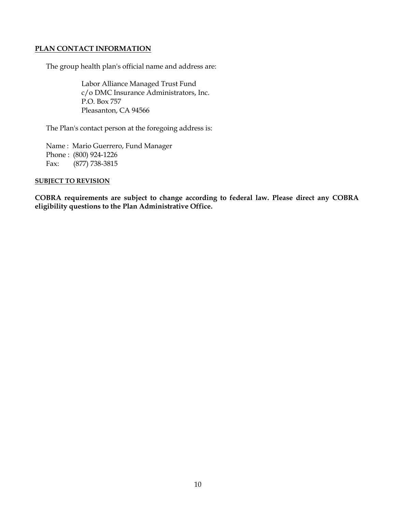#### **PLAN CONTACT INFORMATION**

The group health plan's official name and address are:

Labor Alliance Managed Trust Fund c/o DMC Insurance Administrators, Inc. P.O. Box 757 Pleasanton, CA 94566

The Plan's contact person at the foregoing address is:

Name : Mario Guerrero, Fund Manager Phone : (800) 924-1226 Fax: (877) 738-3815

#### **SUBJECT TO REVISION**

**COBRA requirements are subject to change according to federal law. Please direct any COBRA eligibility questions to the Plan Administrative Office.**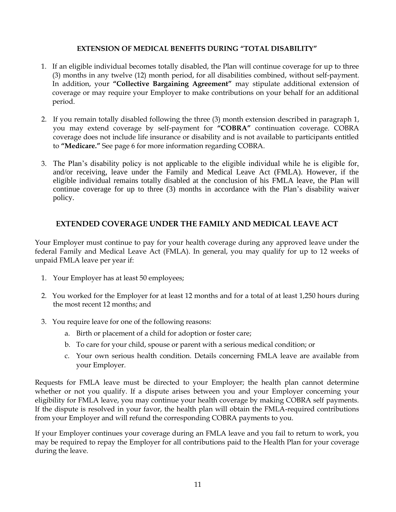## **EXTENSION OF MEDICAL BENEFITS DURING "TOTAL DISABILITY"**

- 1. If an eligible individual becomes totally disabled, the Plan will continue coverage for up to three (3) months in any twelve (12) month period, for all disabilities combined, without self-payment. In addition, your **"Collective Bargaining Agreement"** may stipulate additional extension of coverage or may require your Employer to make contributions on your behalf for an additional period.
- 2. If you remain totally disabled following the three (3) month extension described in paragraph 1, you may extend coverage by self-payment for **"COBRA"** continuation coverage. COBRA coverage does not include life insurance or disability and is not available to participants entitled to **"Medicare."** See page 6 for more information regarding COBRA.
- 3. The Plan's disability policy is not applicable to the eligible individual while he is eligible for, and/or receiving, leave under the Family and Medical Leave Act (FMLA). However, if the eligible individual remains totally disabled at the conclusion of his FMLA leave, the Plan will continue coverage for up to three (3) months in accordance with the Plan's disability waiver policy.

# **EXTENDED COVERAGE UNDER THE FAMILY AND MEDICAL LEAVE ACT**

Your Employer must continue to pay for your health coverage during any approved leave under the federal Family and Medical Leave Act (FMLA). In general, you may qualify for up to 12 weeks of unpaid FMLA leave per year if:

- 1. Your Employer has at least 50 employees;
- 2. You worked for the Employer for at least 12 months and for a total of at least 1,250 hours during the most recent 12 months; and
- 3. You require leave for one of the following reasons:
	- a. Birth or placement of a child for adoption or foster care;
	- b. To care for your child, spouse or parent with a serious medical condition; or
	- c. Your own serious health condition. Details concerning FMLA leave are available from your Employer.

Requests for FMLA leave must be directed to your Employer; the health plan cannot determine whether or not you qualify. If a dispute arises between you and your Employer concerning your eligibility for FMLA leave, you may continue your health coverage by making COBRA self payments. If the dispute is resolved in your favor, the health plan will obtain the FMLA-required contributions from your Employer and will refund the corresponding COBRA payments to you.

If your Employer continues your coverage during an FMLA leave and you fail to return to work, you may be required to repay the Employer for all contributions paid to the Health Plan for your coverage during the leave.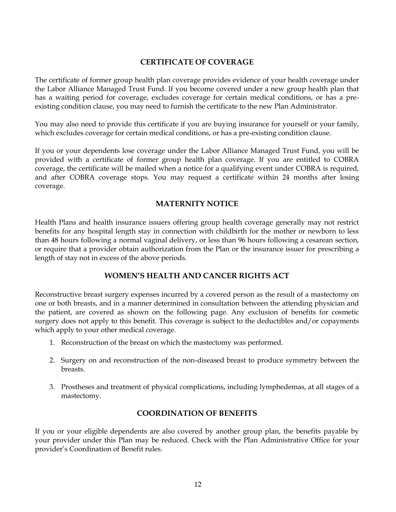# **CERTIFICATE OF COVERAGE**

The certificate of former group health plan coverage provides evidence of your health coverage under the Labor Alliance Managed Trust Fund. If you become covered under a new group health plan that has a waiting period for coverage, excludes coverage for certain medical conditions, or has a preexisting condition clause, you may need to furnish the certificate to the new Plan Administrator.

You may also need to provide this certificate if you are buying insurance for yourself or your family, which excludes coverage for certain medical conditions, or has a pre-existing condition clause.

If you or your dependents lose coverage under the Labor Alliance Managed Trust Fund, you will be provided with a certificate of former group health plan coverage. If you are entitled to COBRA coverage, the certificate will be mailed when a notice for a qualifying event under COBRA is required, and after COBRA coverage stops. You may request a certificate within 24 months after losing coverage.

# **MATERNITY NOTICE**

Health Plans and health insurance issuers offering group health coverage generally may not restrict benefits for any hospital length stay in connection with childbirth for the mother or newborn to less than 48 hours following a normal vaginal delivery, or less than 96 hours following a cesarean section, or require that a provider obtain authorization from the Plan or the insurance issuer for prescribing a length of stay not in excess of the above periods.

# **WOMEN'S HEALTH AND CANCER RIGHTS ACT**

Reconstructive breast surgery expenses incurred by a covered person as the result of a mastectomy on one or both breasts, and in a manner determined in consultation between the attending physician and the patient, are covered as shown on the following page. Any exclusion of benefits for cosmetic surgery does not apply to this benefit. This coverage is subject to the deductibles and/or copayments which apply to your other medical coverage.

- 1. Reconstruction of the breast on which the mastectomy was performed.
- 2. Surgery on and reconstruction of the non-diseased breast to produce symmetry between the breasts.
- 3. Prostheses and treatment of physical complications, including lymphedemas, at all stages of a mastectomy.

## **COORDINATION OF BENEFITS**

If you or your eligible dependents are also covered by another group plan, the benefits payable by your provider under this Plan may be reduced. Check with the Plan Administrative Office for your provider's Coordination of Benefit rules.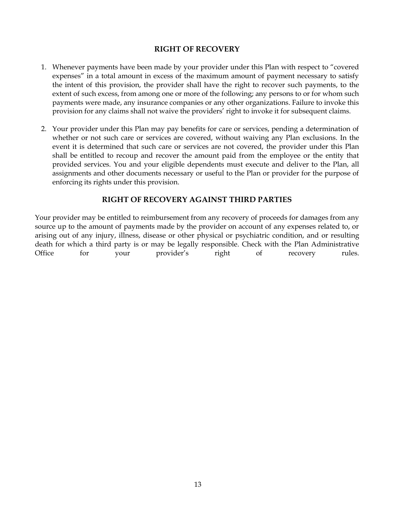# **RIGHT OF RECOVERY**

- 1. Whenever payments have been made by your provider under this Plan with respect to "covered expenses" in a total amount in excess of the maximum amount of payment necessary to satisfy the intent of this provision, the provider shall have the right to recover such payments, to the extent of such excess, from among one or more of the following; any persons to or for whom such payments were made, any insurance companies or any other organizations. Failure to invoke this provision for any claims shall not waive the providers' right to invoke it for subsequent claims.
- 2. Your provider under this Plan may pay benefits for care or services, pending a determination of whether or not such care or services are covered, without waiving any Plan exclusions. In the event it is determined that such care or services are not covered, the provider under this Plan shall be entitled to recoup and recover the amount paid from the employee or the entity that provided services. You and your eligible dependents must execute and deliver to the Plan, all assignments and other documents necessary or useful to the Plan or provider for the purpose of enforcing its rights under this provision.

# **RIGHT OF RECOVERY AGAINST THIRD PARTIES**

Your provider may be entitled to reimbursement from any recovery of proceeds for damages from any source up to the amount of payments made by the provider on account of any expenses related to, or arising out of any injury, illness, disease or other physical or psychiatric condition, and or resulting death for which a third party is or may be legally responsible. Check with the Plan Administrative Office for your provider's right of recovery rules.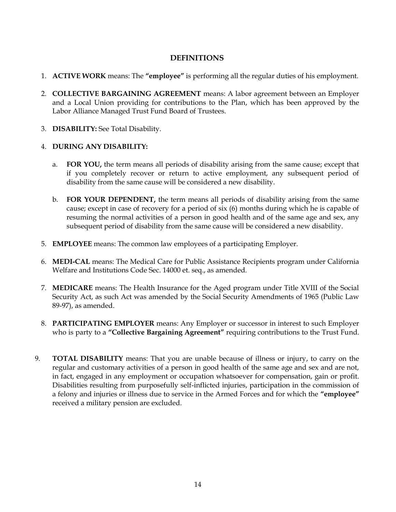# **DEFINITIONS**

- 1. **ACTIVE WORK** means: The **"employee"** is performing all the regular duties of his employment.
- 2. **COLLECTIVE BARGAINING AGREEMENT** means: A labor agreement between an Employer and a Local Union providing for contributions to the Plan, which has been approved by the Labor Alliance Managed Trust Fund Board of Trustees.
- 3. **DISABILITY:** See Total Disability.

## 4. **DURING ANY DISABILITY:**

- a. **FOR YOU,** the term means all periods of disability arising from the same cause; except that if you completely recover or return to active employment, any subsequent period of disability from the same cause will be considered a new disability.
- b. **FOR YOUR DEPENDENT,** the term means all periods of disability arising from the same cause; except in case of recovery for a period of six (6) months during which he is capable of resuming the normal activities of a person in good health and of the same age and sex, any subsequent period of disability from the same cause will be considered a new disability.
- 5. **EMPLOYEE** means: The common law employees of a participating Employer.
- 6. **MEDI-CAL** means: The Medical Care for Public Assistance Recipients program under California Welfare and Institutions Code Sec. 14000 et. seq., as amended.
- 7. **MEDICARE** means: The Health Insurance for the Aged program under Title XVIII of the Social Security Act, as such Act was amended by the Social Security Amendments of 1965 (Public Law 89-97), as amended.
- 8. **PARTICIPATING EMPLOYER** means: Any Employer or successor in interest to such Employer who is party to a **"Collective Bargaining Agreement"** requiring contributions to the Trust Fund.
- 9. **TOTAL DISABILITY** means: That you are unable because of illness or injury, to carry on the regular and customary activities of a person in good health of the same age and sex and are not, in fact, engaged in any employment or occupation whatsoever for compensation, gain or profit. Disabilities resulting from purposefully self-inflicted injuries, participation in the commission of a felony and injuries or illness due to service in the Armed Forces and for which the **"employee"** received a military pension are excluded.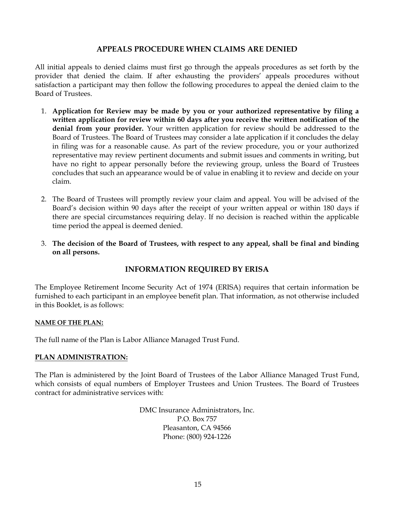# **APPEALS PROCEDURE WHEN CLAIMS ARE DENIED**

All initial appeals to denied claims must first go through the appeals procedures as set forth by the provider that denied the claim. If after exhausting the providers' appeals procedures without satisfaction a participant may then follow the following procedures to appeal the denied claim to the Board of Trustees.

- 1. **Application for Review may be made by you or your authorized representative by filing a written application for review within 60 days after you receive the written notification of the denial from your provider.** Your written application for review should be addressed to the Board of Trustees. The Board of Trustees may consider a late application if it concludes the delay in filing was for a reasonable cause. As part of the review procedure, you or your authorized representative may review pertinent documents and submit issues and comments in writing, but have no right to appear personally before the reviewing group, unless the Board of Trustees concludes that such an appearance would be of value in enabling it to review and decide on your claim.
- 2. The Board of Trustees will promptly review your claim and appeal. You will be advised of the Board's decision within 90 days after the receipt of your written appeal or within 180 days if there are special circumstances requiring delay. If no decision is reached within the applicable time period the appeal is deemed denied.
- 3. **The decision of the Board of Trustees, with respect to any appeal, shall be final and binding on all persons.**

# **INFORMATION REQUIRED BY ERISA**

The Employee Retirement Income Security Act of 1974 (ERISA) requires that certain information be furnished to each participant in an employee benefit plan. That information, as not otherwise included in this Booklet, is as follows:

#### **NAME OF THE PLAN:**

The full name of the Plan is Labor Alliance Managed Trust Fund.

## **PLAN ADMINISTRATION:**

The Plan is administered by the Joint Board of Trustees of the Labor Alliance Managed Trust Fund, which consists of equal numbers of Employer Trustees and Union Trustees. The Board of Trustees contract for administrative services with:

> DMC Insurance Administrators, Inc. P.O. Box 757 Pleasanton, CA 94566 Phone: (800) 924-1226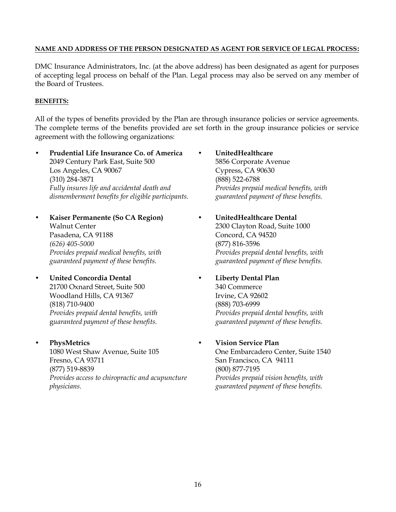#### **NAME AND ADDRESS OF THE PERSON DESIGNATED AS AGENT FOR SERVICE OF LEGAL PROCESS:**

DMC Insurance Administrators, Inc. (at the above address) has been designated as agent for purposes of accepting legal process on behalf of the Plan. Legal process may also be served on any member of the Board of Trustees.

## **BENEFITS:**

All of the types of benefits provided by the Plan are through insurance policies or service agreements. The complete terms of the benefits provided are set forth in the group insurance policies or service agreement with the following organizations:

- **• Prudential Life Insurance Co. of America • UnitedHealthcare** 2049 Century Park East, Suite 500 5856 Corporate Avenue Los Angeles, CA 90067 Cypress, CA 90630 (310) 284-3871 (888) 522-6788 *Fully insures life and accidental death and Provides prepaid medical benefits, with dismemberment benefits for eligible participants. guaranteed payment of these benefits.*
- **• Kaiser Permanente (So CA Region) • UnitedHealthcare Dental** Walnut Center 2300 Clayton Road, Suite 1000 Pasadena, CA 91188 Concord, CA 94520 *(626) 405-5000* (877) 816-3596
- **• United Concordia Dental • Liberty Dental Plan**

21700 Oxnard Street, Suite 500 340 Commerce Woodland Hills, CA 91367 Irvine, CA 92602 (818) 710-9400 (888) 703-6999

1080 West Shaw Avenue, Suite 105 One Embarcadero Center, Suite 1540 Fresno, CA 93711 San Francisco, CA 94111 (877) 519-8839 (800) 877-7195 *Provides access to chiropractic and acupuncture Provides prepaid vision benefits, with physicians. guaranteed payment of these benefits.*

- 
- *Provides prepaid medical benefits, with Provides prepaid dental benefits, with guaranteed payment of these benefits. guaranteed payment of these benefits.*
	-

*Provides prepaid dental benefits, with Provides prepaid dental benefits, with* g*uaranteed payment of these benefits. guaranteed payment of these benefits.*

**• PhysMetrics • Vision Service Plan**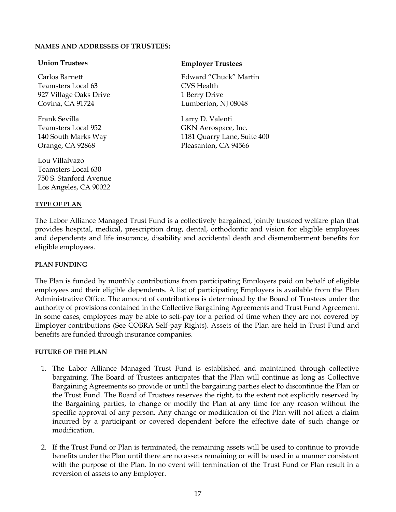#### **NAMES AND ADDRESSES OF TRUSTEES:**

Carlos Barnett Teamsters Local 63 927 Village Oaks Drive Covina, CA 91724

Frank Sevilla Teamsters Local 952 140 South Marks Way Orange, CA 92868

Lou Villalvazo Teamsters Local 630 750 S. Stanford Avenue Los Angeles, CA 90022

#### **TYPE OF PLAN**

## **Union Trustees Employer Trustees**

Edward "Chuck" Martin CVS Health 1 Berry Drive Lumberton, NJ 08048

Larry D. Valenti GKN Aerospace, Inc. 1181 Quarry Lane, Suite 400 Pleasanton, CA 94566

The Labor Alliance Managed Trust Fund is a collectively bargained, jointly trusteed welfare plan that provides hospital, medical, prescription drug, dental, orthodontic and vision for eligible employees and dependents and life insurance, disability and accidental death and dismemberment benefits for eligible employees.

#### **PLAN FUNDING**

The Plan is funded by monthly contributions from participating Employers paid on behalf of eligible employees and their eligible dependents. A list of participating Employers is available from the Plan Administrative Office. The amount of contributions is determined by the Board of Trustees under the authority of provisions contained in the Collective Bargaining Agreements and Trust Fund Agreement. In some cases, employees may be able to self-pay for a period of time when they are not covered by Employer contributions (See COBRA Self-pay Rights). Assets of the Plan are held in Trust Fund and benefits are funded through insurance companies.

#### **FUTURE OF THE PLAN**

- 1. The Labor Alliance Managed Trust Fund is established and maintained through collective bargaining. The Board of Trustees anticipates that the Plan will continue as long as Collective Bargaining Agreements so provide or until the bargaining parties elect to discontinue the Plan or the Trust Fund. The Board of Trustees reserves the right, to the extent not explicitly reserved by the Bargaining parties, to change or modify the Plan at any time for any reason without the specific approval of any person. Any change or modification of the Plan will not affect a claim incurred by a participant or covered dependent before the effective date of such change or modification.
- 2. If the Trust Fund or Plan is terminated, the remaining assets will be used to continue to provide benefits under the Plan until there are no assets remaining or will be used in a manner consistent with the purpose of the Plan. In no event will termination of the Trust Fund or Plan result in a reversion of assets to any Employer.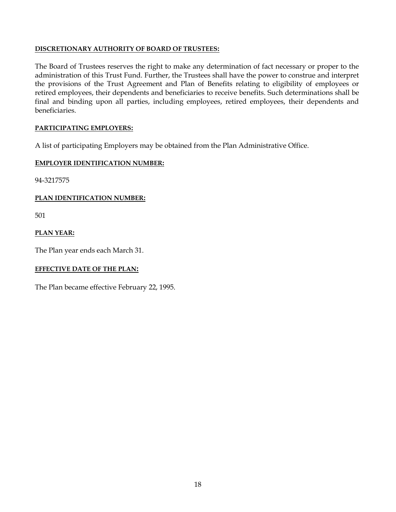## **DISCRETIONARY AUTHORITY OF BOARD OF TRUSTEES:**

The Board of Trustees reserves the right to make any determination of fact necessary or proper to the administration of this Trust Fund. Further, the Trustees shall have the power to construe and interpret the provisions of the Trust Agreement and Plan of Benefits relating to eligibility of employees or retired employees, their dependents and beneficiaries to receive benefits. Such determinations shall be final and binding upon all parties, including employees, retired employees, their dependents and beneficiaries.

#### **PARTICIPATING EMPLOYERS:**

A list of participating Employers may be obtained from the Plan Administrative Office.

#### **EMPLOYER IDENTIFICATION NUMBER:**

94-3217575

#### **PLAN IDENTIFICATION NUMBER:**

501

#### **PLAN YEAR:**

The Plan year ends each March 31.

## **EFFECTIVE DATE OF THE PLAN:**

The Plan became effective February 22, 1995.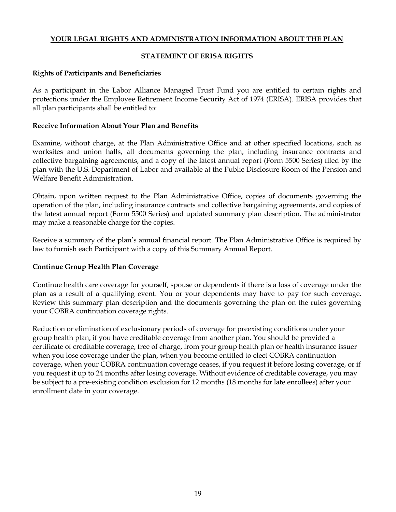# **YOUR LEGAL RIGHTS AND ADMINISTRATION INFORMATION ABOUT THE PLAN**

#### **STATEMENT OF ERISA RIGHTS**

#### **Rights of Participants and Beneficiaries**

As a participant in the Labor Alliance Managed Trust Fund you are entitled to certain rights and protections under the Employee Retirement Income Security Act of 1974 (ERISA). ERISA provides that all plan participants shall be entitled to:

#### **Receive Information About Your Plan and Benefits**

Examine, without charge, at the Plan Administrative Office and at other specified locations, such as worksites and union halls, all documents governing the plan, including insurance contracts and collective bargaining agreements, and a copy of the latest annual report (Form 5500 Series) filed by the plan with the U.S. Department of Labor and available at the Public Disclosure Room of the Pension and Welfare Benefit Administration.

Obtain, upon written request to the Plan Administrative Office, copies of documents governing the operation of the plan, including insurance contracts and collective bargaining agreements, and copies of the latest annual report (Form 5500 Series) and updated summary plan description. The administrator may make a reasonable charge for the copies.

Receive a summary of the plan's annual financial report. The Plan Administrative Office is required by law to furnish each Participant with a copy of this Summary Annual Report.

## **Continue Group Health Plan Coverage**

Continue health care coverage for yourself, spouse or dependents if there is a loss of coverage under the plan as a result of a qualifying event. You or your dependents may have to pay for such coverage. Review this summary plan description and the documents governing the plan on the rules governing your COBRA continuation coverage rights.

Reduction or elimination of exclusionary periods of coverage for preexisting conditions under your group health plan, if you have creditable coverage from another plan. You should be provided a certificate of creditable coverage, free of charge, from your group health plan or health insurance issuer when you lose coverage under the plan, when you become entitled to elect COBRA continuation coverage, when your COBRA continuation coverage ceases, if you request it before losing coverage, or if you request it up to 24 months after losing coverage. Without evidence of creditable coverage, you may be subject to a pre-existing condition exclusion for 12 months (18 months for late enrollees) after your enrollment date in your coverage.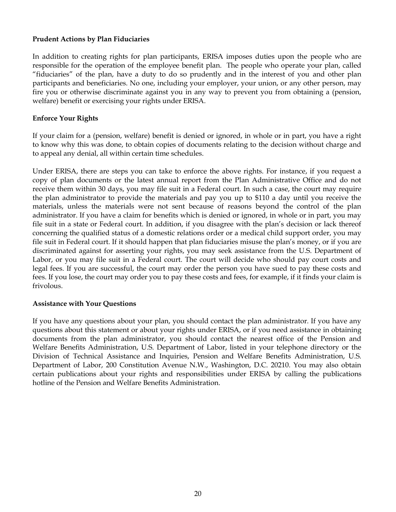## **Prudent Actions by Plan Fiduciaries**

In addition to creating rights for plan participants, ERISA imposes duties upon the people who are responsible for the operation of the employee benefit plan. The people who operate your plan, called "fiduciaries" of the plan, have a duty to do so prudently and in the interest of you and other plan participants and beneficiaries. No one, including your employer, your union, or any other person, may fire you or otherwise discriminate against you in any way to prevent you from obtaining a (pension, welfare) benefit or exercising your rights under ERISA.

## **Enforce Your Rights**

If your claim for a (pension, welfare) benefit is denied or ignored, in whole or in part, you have a right to know why this was done, to obtain copies of documents relating to the decision without charge and to appeal any denial, all within certain time schedules.

Under ERISA, there are steps you can take to enforce the above rights. For instance, if you request a copy of plan documents or the latest annual report from the Plan Administrative Office and do not receive them within 30 days, you may file suit in a Federal court. In such a case, the court may require the plan administrator to provide the materials and pay you up to \$110 a day until you receive the materials, unless the materials were not sent because of reasons beyond the control of the plan administrator. If you have a claim for benefits which is denied or ignored, in whole or in part, you may file suit in a state or Federal court. In addition, if you disagree with the plan's decision or lack thereof concerning the qualified status of a domestic relations order or a medical child support order, you may file suit in Federal court. If it should happen that plan fiduciaries misuse the plan's money, or if you are discriminated against for asserting your rights, you may seek assistance from the U.S. Department of Labor, or you may file suit in a Federal court. The court will decide who should pay court costs and legal fees. If you are successful, the court may order the person you have sued to pay these costs and fees. If you lose, the court may order you to pay these costs and fees, for example, if it finds your claim is frivolous.

## **Assistance with Your Questions**

If you have any questions about your plan, you should contact the plan administrator. If you have any questions about this statement or about your rights under ERISA, or if you need assistance in obtaining documents from the plan administrator, you should contact the nearest office of the Pension and Welfare Benefits Administration, U.S. Department of Labor, listed in your telephone directory or the Division of Technical Assistance and Inquiries, Pension and Welfare Benefits Administration, U.S. Department of Labor, 200 Constitution Avenue N.W., Washington, D.C. 20210. You may also obtain certain publications about your rights and responsibilities under ERISA by calling the publications hotline of the Pension and Welfare Benefits Administration.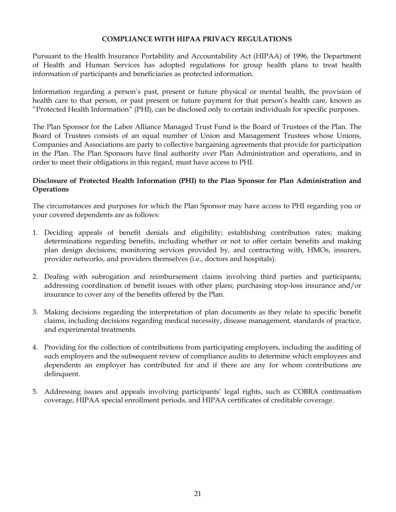# **COMPLIANCE WITH HIPAA PRIVACY REGULATIONS**

Pursuant to the Health Insurance Portability and Accountability Act (HIPAA) of 1996, the Department of Health and Human Services has adopted regulations for group health plans to treat health information of participants and beneficiaries as protected information.

Information regarding a person's past, present or future physical or mental health, the provision of health care to that person, or past present or future payment for that person's health care, known as "Protected Health Information" (PHI), can be disclosed only to certain individuals for specific purposes.

The Plan Sponsor for the Labor Alliance Managed Trust Fund is the Board of Trustees of the Plan. The Board of Trustees consists of an equal number of Union and Management Trustees whose Unions, Companies and Associations are party to collective bargaining agreements that provide for participation in the Plan. The Plan Sponsors have final authority over Plan Administration and operations, and in order to meet their obligations in this regard, must have access to PHI.

## **Disclosure of Protected Health Information (PHI) to the Plan Sponsor for Plan Administration and Operations**

The circumstances and purposes for which the Plan Sponsor may have access to PHI regarding you or your covered dependents are as follows:

- 1. Deciding appeals of benefit denials and eligibility; establishing contribution rates; making determinations regarding benefits, including whether or not to offer certain benefits and making plan design decisions; monitoring services provided by, and contracting with, HMOs, insurers, provider networks, and providers themselves (i.e., doctors and hospitals).
- 2. Dealing with subrogation and reimbursement claims involving third parties and participants; addressing coordination of benefit issues with other plans; purchasing stop-loss insurance and/or insurance to cover any of the benefits offered by the Plan.
- 3. Making decisions regarding the interpretation of plan documents as they relate to specific benefit claims, including decisions regarding medical necessity, disease management, standards of practice, and experimental treatments.
- 4. Providing for the collection of contributions from participating employers, including the auditing of such employers and the subsequent review of compliance audits to determine which employees and dependents an employer has contributed for and if there are any for whom contributions are delinquent.
- 5. Addressing issues and appeals involving participants' legal rights, such as COBRA continuation coverage, HIPAA special enrollment periods, and HIPAA certificates of creditable coverage.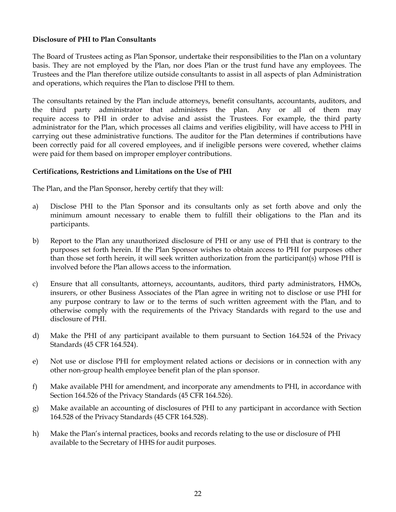# **Disclosure of PHI to Plan Consultants**

The Board of Trustees acting as Plan Sponsor, undertake their responsibilities to the Plan on a voluntary basis. They are not employed by the Plan, nor does Plan or the trust fund have any employees. The Trustees and the Plan therefore utilize outside consultants to assist in all aspects of plan Administration and operations, which requires the Plan to disclose PHI to them.

The consultants retained by the Plan include attorneys, benefit consultants, accountants, auditors, and the third party administrator that administers the plan. Any or all of them may require access to PHI in order to advise and assist the Trustees. For example, the third party administrator for the Plan, which processes all claims and verifies eligibility, will have access to PHI in carrying out these administrative functions. The auditor for the Plan determines if contributions have been correctly paid for all covered employees, and if ineligible persons were covered, whether claims were paid for them based on improper employer contributions.

#### **Certifications, Restrictions and Limitations on the Use of PHI**

The Plan, and the Plan Sponsor, hereby certify that they will:

- a) Disclose PHI to the Plan Sponsor and its consultants only as set forth above and only the minimum amount necessary to enable them to fulfill their obligations to the Plan and its participants.
- b) Report to the Plan any unauthorized disclosure of PHI or any use of PHI that is contrary to the purposes set forth herein. If the Plan Sponsor wishes to obtain access to PHI for purposes other than those set forth herein, it will seek written authorization from the participant(s) whose PHI is involved before the Plan allows access to the information.
- c) Ensure that all consultants, attorneys, accountants, auditors, third party administrators, HMOs, insurers, or other Business Associates of the Plan agree in writing not to disclose or use PHI for any purpose contrary to law or to the terms of such written agreement with the Plan, and to otherwise comply with the requirements of the Privacy Standards with regard to the use and disclosure of PHI.
- d) Make the PHI of any participant available to them pursuant to Section 164.524 of the Privacy Standards (45 CFR 164.524).
- e) Not use or disclose PHI for employment related actions or decisions or in connection with any other non-group health employee benefit plan of the plan sponsor.
- f) Make available PHI for amendment, and incorporate any amendments to PHI, in accordance with Section 164.526 of the Privacy Standards (45 CFR 164.526).
- g) Make available an accounting of disclosures of PHI to any participant in accordance with Section 164.528 of the Privacy Standards (45 CFR 164.528).
- h) Make the Plan's internal practices, books and records relating to the use or disclosure of PHI available to the Secretary of HHS for audit purposes.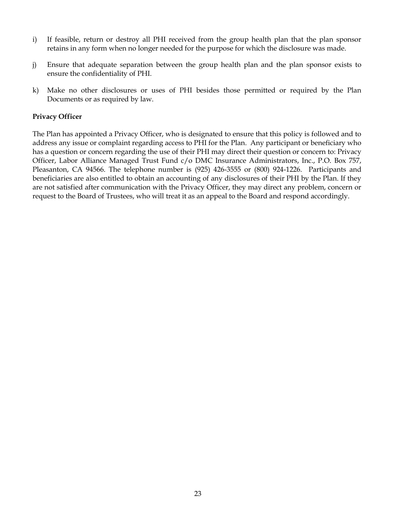- i) If feasible, return or destroy all PHI received from the group health plan that the plan sponsor retains in any form when no longer needed for the purpose for which the disclosure was made.
- j) Ensure that adequate separation between the group health plan and the plan sponsor exists to ensure the confidentiality of PHI.
- k) Make no other disclosures or uses of PHI besides those permitted or required by the Plan Documents or as required by law.

## **Privacy Officer**

The Plan has appointed a Privacy Officer, who is designated to ensure that this policy is followed and to address any issue or complaint regarding access to PHI for the Plan. Any participant or beneficiary who has a question or concern regarding the use of their PHI may direct their question or concern to: Privacy Officer, Labor Alliance Managed Trust Fund c/o DMC Insurance Administrators, Inc., P.O. Box 757, Pleasanton, CA 94566. The telephone number is (925) 426-3555 or (800) 924-1226. Participants and beneficiaries are also entitled to obtain an accounting of any disclosures of their PHI by the Plan. If they are not satisfied after communication with the Privacy Officer, they may direct any problem, concern or request to the Board of Trustees, who will treat it as an appeal to the Board and respond accordingly.